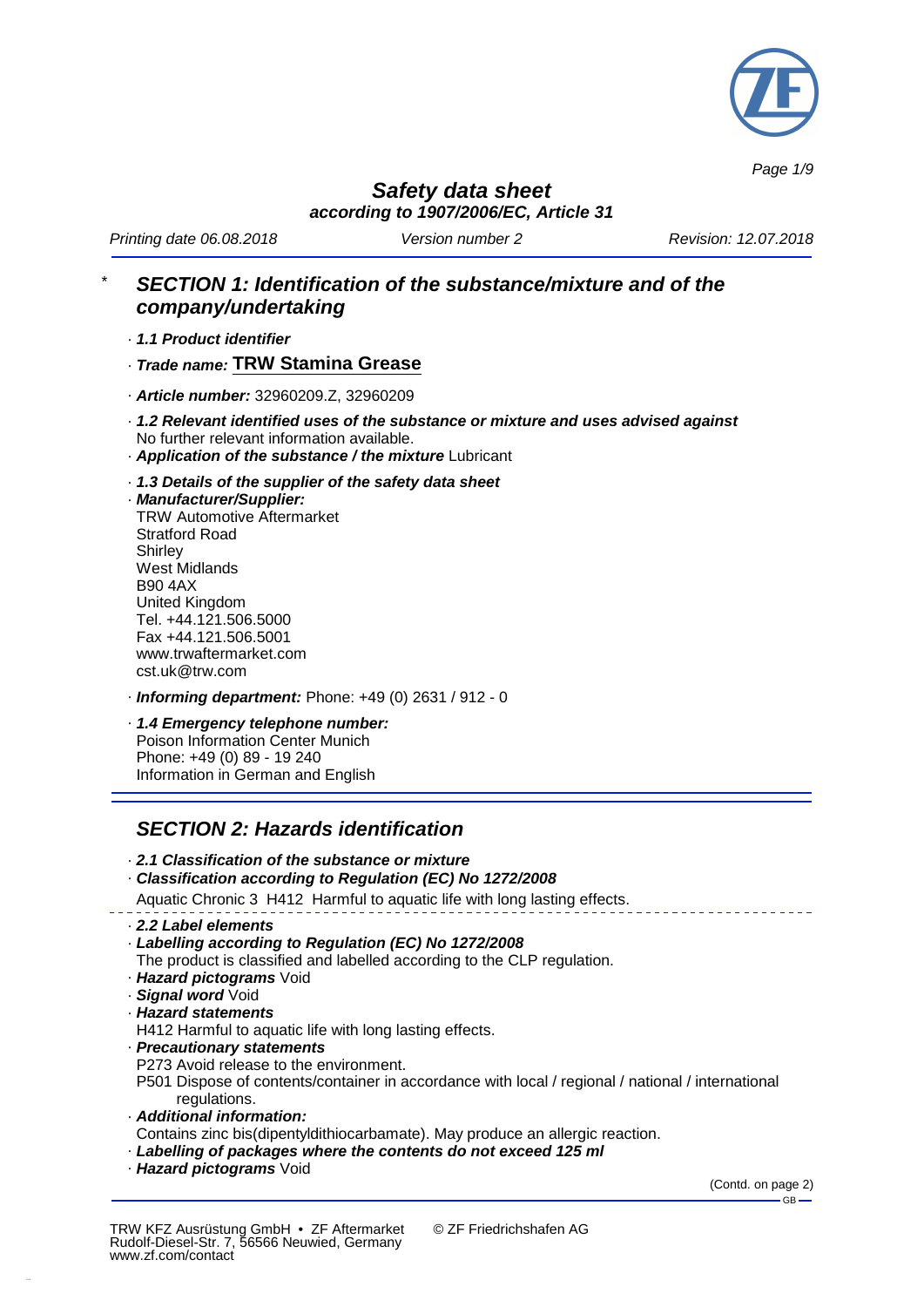

*Page 1/9*

*Safety data sheet according to 1907/2006/EC, Article 31*

*Printing date 06.08.2018 Version number 2 Revision: 12.07.2018*

# \* *SECTION 1: Identification of the substance/mixture and of the company/undertaking*

· *1.1 Product identifier*

· *Trade name:* **TRW Stamina Grease**

- · *Article number:* 32960209.Z, 32960209
- · *1.2 Relevant identified uses of the substance or mixture and uses advised against* No further relevant information available.
- · *Application of the substance / the mixture* Lubricant
- · *1.3 Details of the supplier of the safety data sheet*
- · *Manufacturer/Supplier:*

TRW Automotive Aftermarket Stratford Road **Shirley** West Midlands B90 4AX United Kingdom Tel. +44.121.506.5000 Fax +44.121.506.5001 www.trwaftermarket.com cst.uk@trw.com

- · *Informing department:* Phone: +49 (0) 2631 / 912 0
- · *1.4 Emergency telephone number:* Poison Information Center Munich Phone: +49 (0) 89 - 19 240 Information in German and English

## *SECTION 2: Hazards identification*

- · *2.1 Classification of the substance or mixture*
- · *Classification according to Regulation (EC) No 1272/2008*
- Aquatic Chronic 3 H412 Harmful to aquatic life with long lasting effects.
- · *2.2 Label elements*
- · *Labelling according to Regulation (EC) No 1272/2008*
- The product is classified and labelled according to the CLP regulation.
- · *Hazard pictograms* Void
- · *Signal word* Void
- · *Hazard statements*
- H412 Harmful to aquatic life with long lasting effects.
- · *Precautionary statements*
- P273 Avoid release to the environment.

P501 Dispose of contents/container in accordance with local / regional / national / international regulations.

- · *Additional information:*
- Contains zinc bis(dipentyldithiocarbamate). May produce an allergic reaction.
- · *Labelling of packages where the contents do not exceed 125 ml*
- · *Hazard pictograms* Void

(Contd. on page 2) GB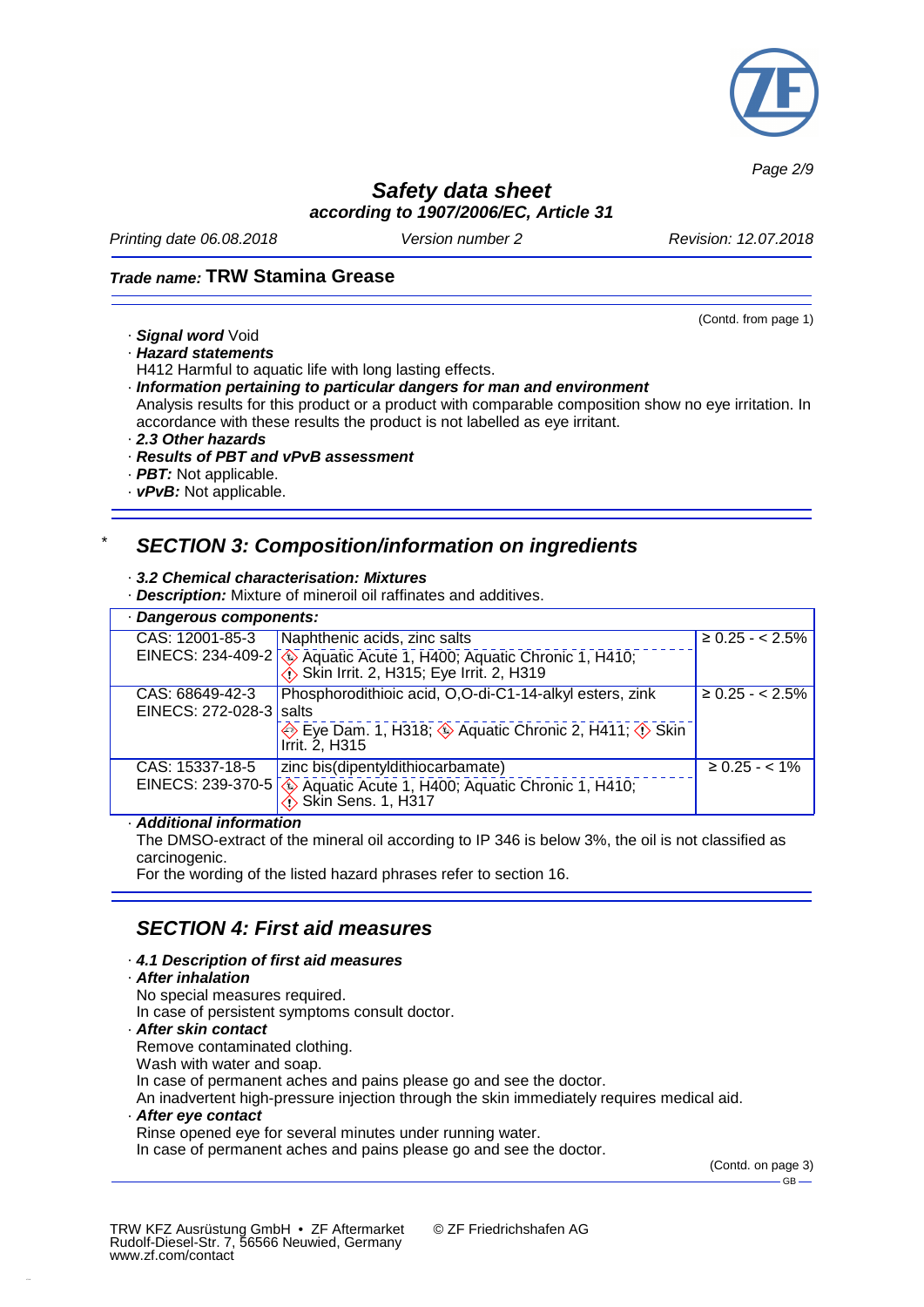

*Page 2/9*

## *Safety data sheet according to 1907/2006/EC, Article 31*

*Printing date 06.08.2018 Version number 2 Revision: 12.07.2018*

### *Trade name:* **TRW Stamina Grease**

- · *Signal word* Void
- · *Hazard statements*

H412 Harmful to aquatic life with long lasting effects.

· *Information pertaining to particular dangers for man and environment*

Analysis results for this product or a product with comparable composition show no eye irritation. In accordance with these results the product is not labelled as eye irritant.

- · *2.3 Other hazards*
- · *Results of PBT and vPvB assessment*
- · *PBT:* Not applicable.
- · *vPvB:* Not applicable.

### \* *SECTION 3: Composition/information on ingredients*

#### · *3.2 Chemical characterisation: Mixtures*

· *Description:* Mixture of mineroil oil raffinates and additives.

| · Dangerous components:                    |                                                                                                                |                     |  |  |
|--------------------------------------------|----------------------------------------------------------------------------------------------------------------|---------------------|--|--|
| CAS: 12001-85-3                            | Naphthenic acids, zinc salts                                                                                   | $\geq 0.25 - 2.5\%$ |  |  |
|                                            | EINECS: 234-409-2 4 Aquatic Acute 1, H400; Aquatic Chronic 1, H410;<br>Skin Irrit. 2, H315; Eye Irrit. 2, H319 |                     |  |  |
| CAS: 68649-42-3<br>EINECS: 272-028-3 salts | Phosphorodithioic acid, O,O-di-C1-14-alkyl esters, zink                                                        | $\geq 0.25 - 2.5\%$ |  |  |
|                                            | Eye Dam. 1, H318; 4 Aquatic Chronic 2, H411; 4 Skin<br>Irrit. 2, H315                                          |                     |  |  |
| CAS: 15337-18-5                            | zinc bis(dipentyldithiocarbamate)                                                                              | $\geq 0.25 - < 1\%$ |  |  |
|                                            | EINECS: 239-370-5 $\bigotimes$ Aquatic Acute 1, H400; Aquatic Chronic 1, H410;                                 |                     |  |  |

#### · *Additional information*

The DMSO-extract of the mineral oil according to IP 346 is below 3%, the oil is not classified as carcinogenic.

For the wording of the listed hazard phrases refer to section 16.

## *SECTION 4: First aid measures*

- · *4.1 Description of first aid measures*
- · *After inhalation*
- No special measures required.
- In case of persistent symptoms consult doctor.
- · *After skin contact*

Remove contaminated clothing.

Wash with water and soap.

In case of permanent aches and pains please go and see the doctor.

An inadvertent high-pressure injection through the skin immediately requires medical aid.

· *After eye contact* Rinse opened eye for several minutes under running water.

In case of permanent aches and pains please go and see the doctor.

(Contd. on page 3)  $-$ GB $-$ 

© ZF Friedrichshafen AG

(Contd. from page 1)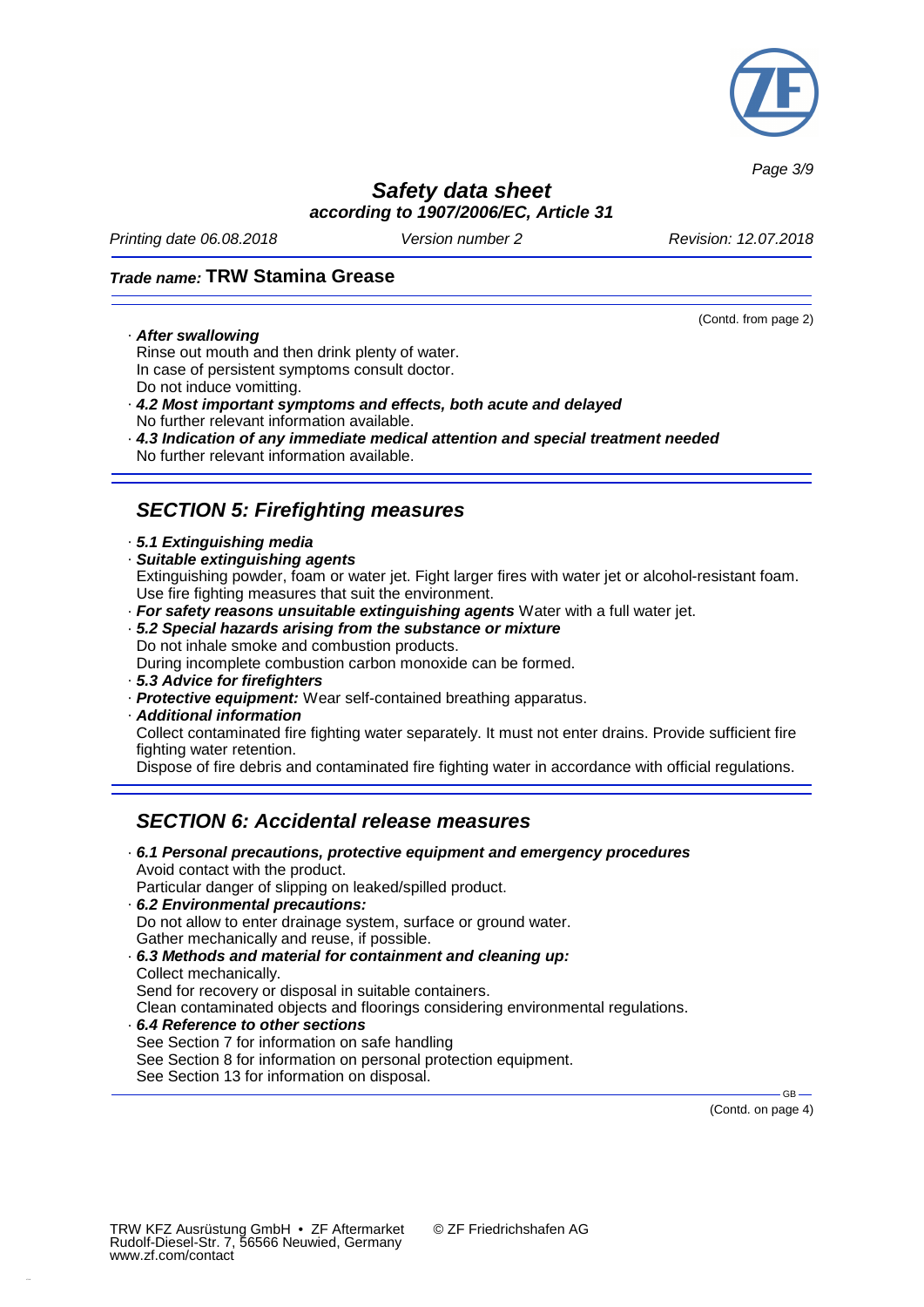

*Page 3/9*

## *Safety data sheet according to 1907/2006/EC, Article 31*

*Printing date 06.08.2018 Version number 2 Revision: 12.07.2018*

(Contd. from page 2)

### *Trade name:* **TRW Stamina Grease**

· *After swallowing*

Rinse out mouth and then drink plenty of water. In case of persistent symptoms consult doctor. Do not induce vomitting.

- · *4.2 Most important symptoms and effects, both acute and delayed* No further relevant information available.
- · *4.3 Indication of any immediate medical attention and special treatment needed* No further relevant information available.

# *SECTION 5: Firefighting measures*

- · *5.1 Extinguishing media*
- · *Suitable extinguishing agents*

Extinguishing powder, foam or water jet. Fight larger fires with water jet or alcohol-resistant foam. Use fire fighting measures that suit the environment.

- · *For safety reasons unsuitable extinguishing agents* Water with a full water jet.
- · *5.2 Special hazards arising from the substance or mixture* Do not inhale smoke and combustion products.

During incomplete combustion carbon monoxide can be formed.

- · *5.3 Advice for firefighters*
- · *Protective equipment:* Wear self-contained breathing apparatus.
- · *Additional information*

Collect contaminated fire fighting water separately. It must not enter drains. Provide sufficient fire fighting water retention.

Dispose of fire debris and contaminated fire fighting water in accordance with official regulations.

## *SECTION 6: Accidental release measures*

· *6.1 Personal precautions, protective equipment and emergency procedures* Avoid contact with the product. Particular danger of slipping on leaked/spilled product.

- · *6.2 Environmental precautions:* Do not allow to enter drainage system, surface or ground water. Gather mechanically and reuse, if possible.
- · *6.3 Methods and material for containment and cleaning up:* Collect mechanically. Send for recovery or disposal in suitable containers. Clean contaminated objects and floorings considering environmental regulations.
- · *6.4 Reference to other sections* See Section 7 for information on safe handling See Section 8 for information on personal protection equipment. See Section 13 for information on disposal.

(Contd. on page 4)

GB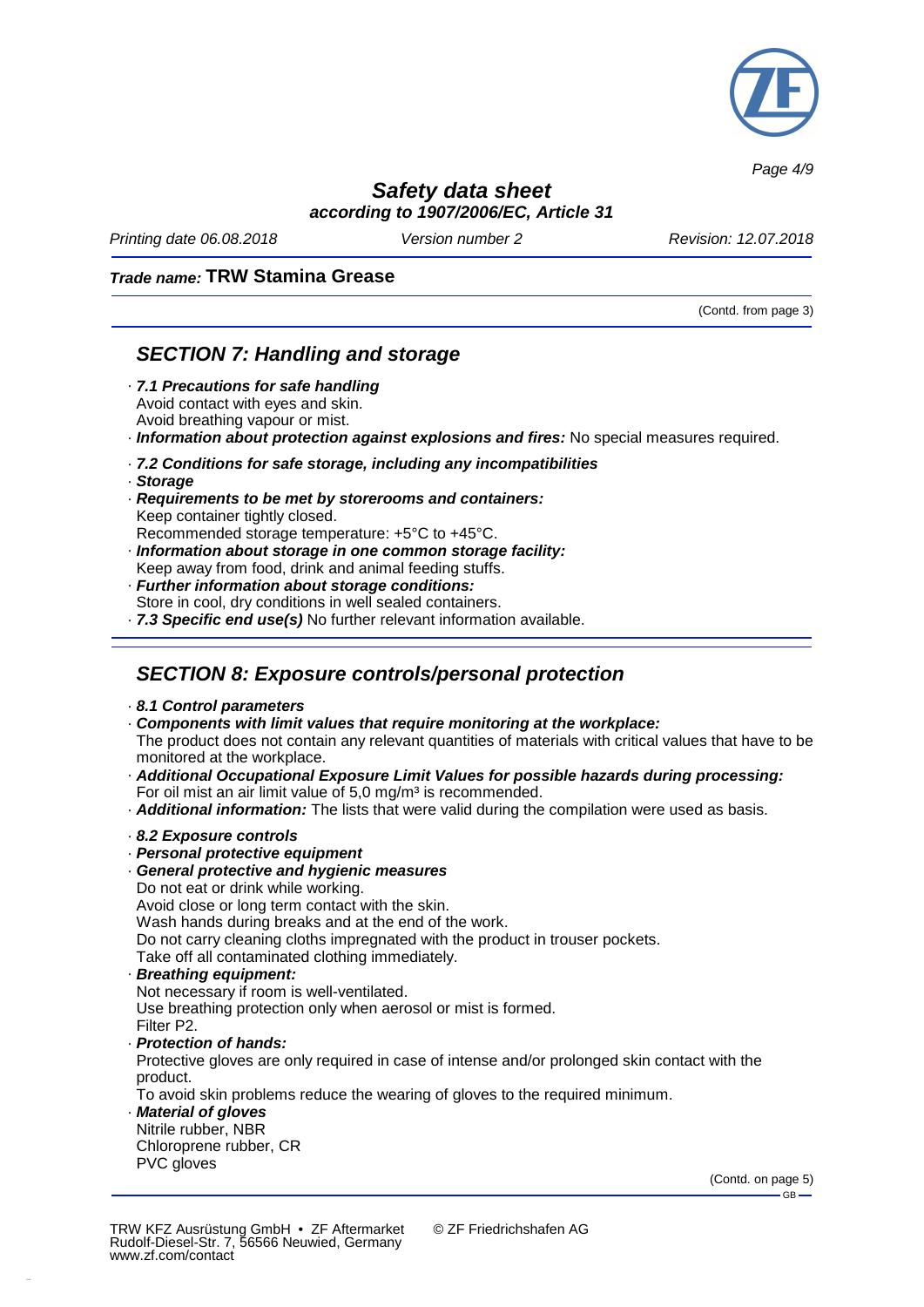

*Page 4/9*

## *Safety data sheet according to 1907/2006/EC, Article 31*

*Printing date 06.08.2018 Version number 2 Revision: 12.07.2018*

### *Trade name:* **TRW Stamina Grease**

(Contd. from page 3)

## *SECTION 7: Handling and storage*

- · *7.1 Precautions for safe handling* Avoid contact with eyes and skin. Avoid breathing vapour or mist.
- · *Information about protection against explosions and fires:* No special measures required.
- · *7.2 Conditions for safe storage, including any incompatibilities*
- · *Storage*
- · *Requirements to be met by storerooms and containers:* Keep container tightly closed.

Recommended storage temperature: +5°C to +45°C.

- · *Information about storage in one common storage facility:* Keep away from food, drink and animal feeding stuffs.
- · *Further information about storage conditions:* Store in cool, dry conditions in well sealed containers.
- · *7.3 Specific end use(s)* No further relevant information available.

## *SECTION 8: Exposure controls/personal protection*

- · *8.1 Control parameters*
- · *Components with limit values that require monitoring at the workplace:* The product does not contain any relevant quantities of materials with critical values that have to be monitored at the workplace.
- · *Additional Occupational Exposure Limit Values for possible hazards during processing:* For oil mist an air limit value of 5.0 mg/m<sup>3</sup> is recommended.
- · *Additional information:* The lists that were valid during the compilation were used as basis.

#### · *8.2 Exposure controls*

- · *Personal protective equipment*
- · *General protective and hygienic measures*
- Do not eat or drink while working.

Avoid close or long term contact with the skin.

Wash hands during breaks and at the end of the work.

Do not carry cleaning cloths impregnated with the product in trouser pockets.

- Take off all contaminated clothing immediately.
- · *Breathing equipment:*

Not necessary if room is well-ventilated. Use breathing protection only when aerosol or mist is formed. Filter P2.

· *Protection of hands:*

Protective gloves are only required in case of intense and/or prolonged skin contact with the product.

To avoid skin problems reduce the wearing of gloves to the required minimum.

· *Material of gloves* Nitrile rubber, NBR Chloroprene rubber, CR PVC gloves

> (Contd. on page 5)  $-$  GB  $-$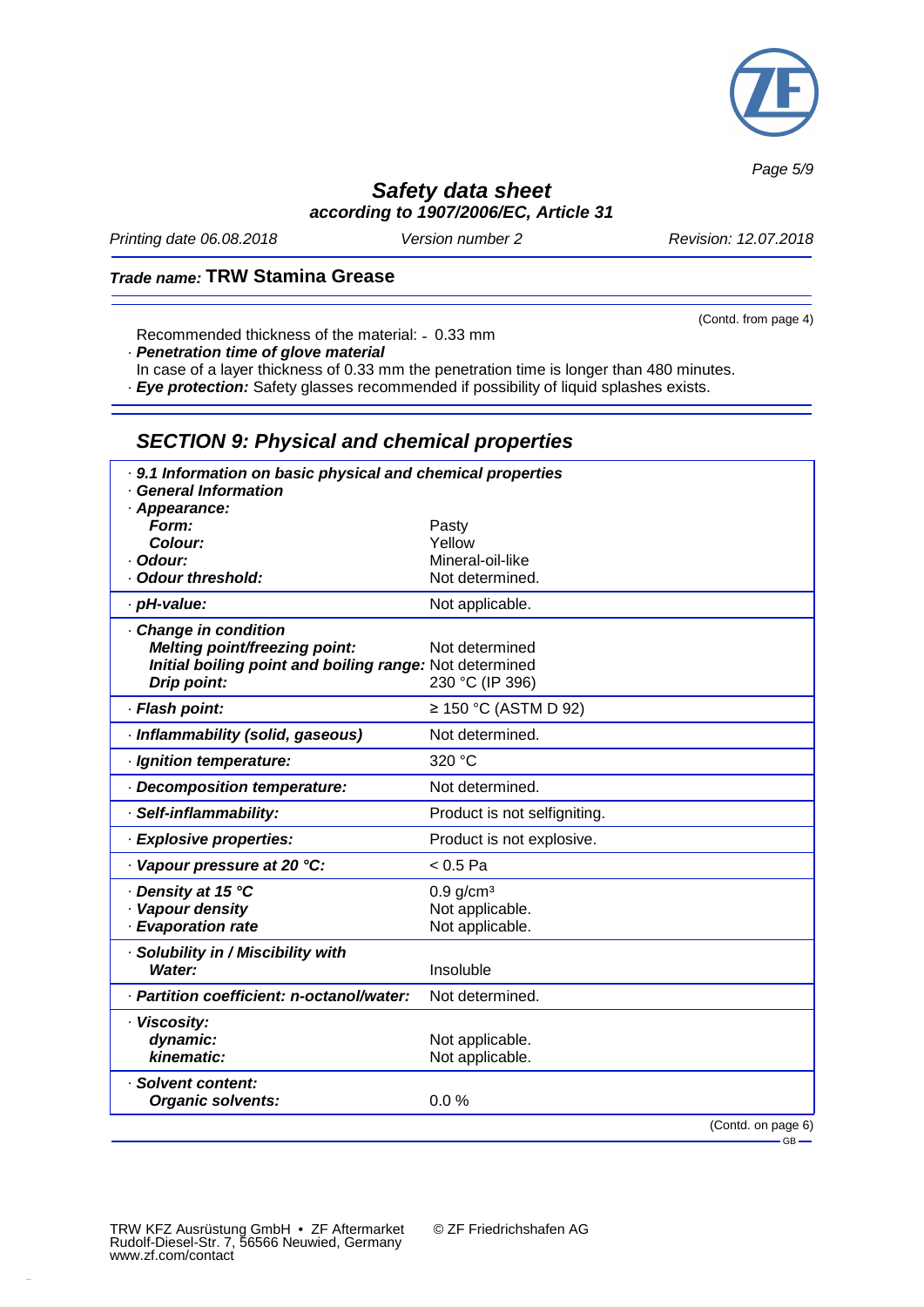

*Page 5/9*

## *Safety data sheet according to 1907/2006/EC, Article 31*

*Printing date 06.08.2018 Version number 2 Revision: 12.07.2018*

(Contd. from page 4)

### *Trade name:* **TRW Stamina Grease**

Recommended thickness of the material: 0.33 mm

· *Penetration time of glove material*

In case of a layer thickness of 0.33 mm the penetration time is longer than 480 minutes.

· *Eye protection:* Safety glasses recommended if possibility of liquid splashes exists.

# *SECTION 9: Physical and chemical properties*

| · 9.1 Information on basic physical and chemical properties<br><b>General Information</b> |                              |
|-------------------------------------------------------------------------------------------|------------------------------|
| · Appearance:                                                                             |                              |
| Form:                                                                                     | Pasty                        |
| Colour:                                                                                   | Yellow                       |
| Odour:                                                                                    | Mineral-oil-like             |
| <b>Odour threshold:</b>                                                                   | Not determined.              |
| · pH-value:                                                                               | Not applicable.              |
| - Change in condition                                                                     |                              |
| <b>Melting point/freezing point:</b>                                                      | Not determined               |
| Initial boiling point and boiling range: Not determined                                   |                              |
| Drip point:                                                                               | 230 °C (IP 396)              |
| · Flash point:                                                                            | $\geq$ 150 °C (ASTM D 92)    |
| · Inflammability (solid, gaseous)                                                         | Not determined.              |
| · Ignition temperature:                                                                   | 320 °C                       |
| · Decomposition temperature:                                                              | Not determined.              |
| · Self-inflammability:                                                                    | Product is not selfigniting. |
| · Explosive properties:                                                                   | Product is not explosive.    |
| Vapour pressure at 20 °C:                                                                 | $< 0.5$ Pa                   |
| ⋅ Density at 15 °C                                                                        | $0.9$ g/cm <sup>3</sup>      |
| · Vapour density                                                                          | Not applicable.              |
| - Evaporation rate                                                                        | Not applicable.              |
| · Solubility in / Miscibility with                                                        |                              |
| <b>Water:</b>                                                                             | Insoluble                    |
| · Partition coefficient: n-octanol/water:                                                 | Not determined.              |
| · Viscosity:                                                                              |                              |
| dynamic:                                                                                  | Not applicable.              |
| kinematic:                                                                                | Not applicable.              |
| · Solvent content:                                                                        |                              |
| <b>Organic solvents:</b>                                                                  | 0.0%                         |
|                                                                                           | (Contd. on page 6)           |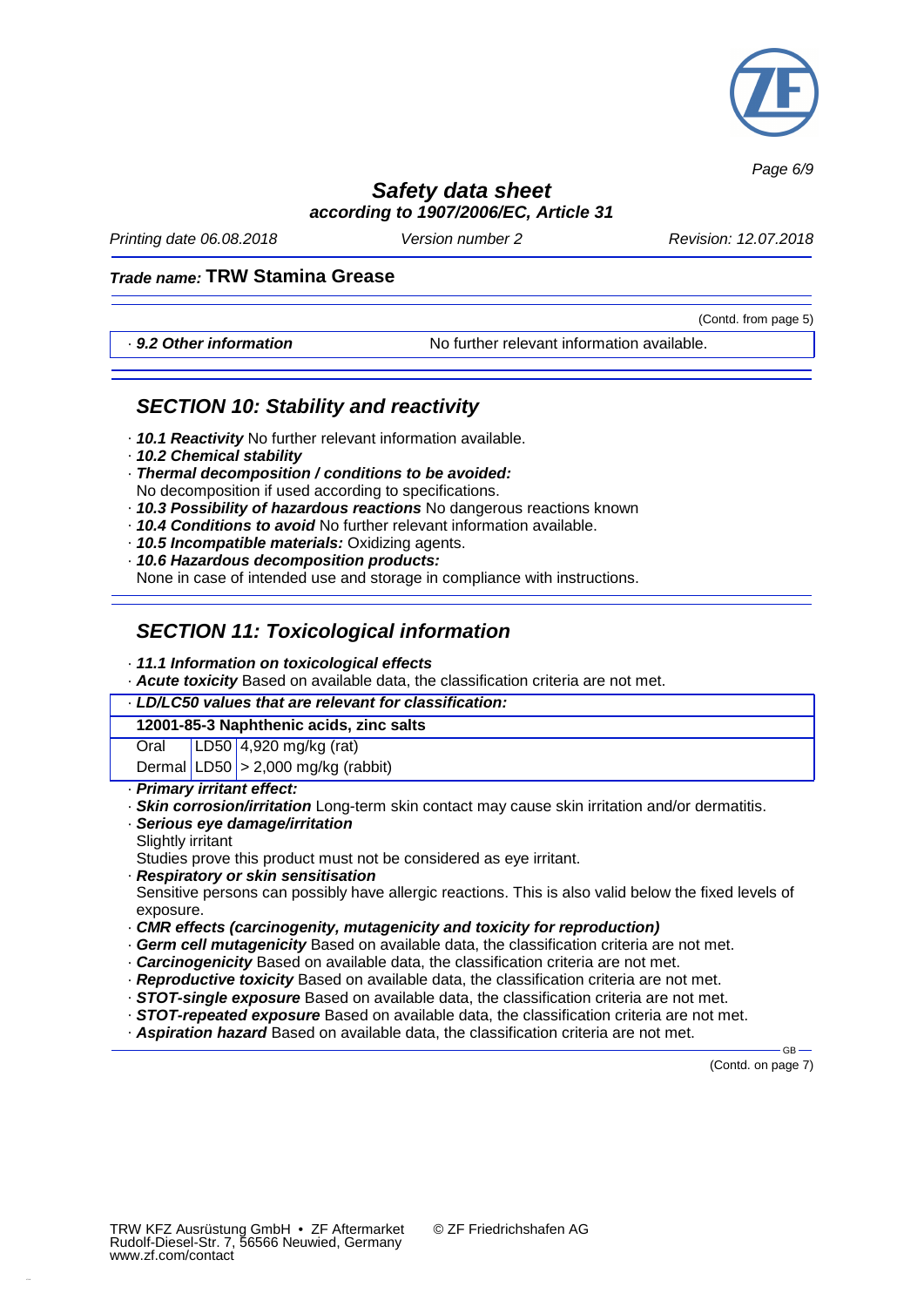

*Page 6/9*

## *Safety data sheet according to 1907/2006/EC, Article 31*

*Printing date 06.08.2018 Version number 2 Revision: 12.07.2018*

(Contd. from page 5)

### *Trade name:* **TRW Stamina Grease**

· *9.2 Other information* No further relevant information available.

## *SECTION 10: Stability and reactivity*

- · *10.1 Reactivity* No further relevant information available.
- · *10.2 Chemical stability*
- · *Thermal decomposition / conditions to be avoided:* No decomposition if used according to specifications.
- · *10.3 Possibility of hazardous reactions* No dangerous reactions known
- · *10.4 Conditions to avoid* No further relevant information available.
- · *10.5 Incompatible materials:* Oxidizing agents.
- · *10.6 Hazardous decomposition products:*

None in case of intended use and storage in compliance with instructions.

# *SECTION 11: Toxicological information*

#### · *11.1 Information on toxicological effects*

· *Acute toxicity* Based on available data, the classification criteria are not met.

| LD/LC50 values that are relevant for classification: |  |                                        |  |
|------------------------------------------------------|--|----------------------------------------|--|
| 12001-85-3 Naphthenic acids, zinc salts              |  |                                        |  |
| Oral                                                 |  | LD50   4,920 m g/kg (rat)              |  |
|                                                      |  | Dermal $ LD50 $ > 2,000 mg/kg (rabbit) |  |

- · *Primary irritant effect:*
- · *Skin corrosion/irritation* Long-term skin contact may cause skin irritation and/or dermatitis.
- · *Serious eye damage/irritation* Slightly irritant

Studies prove this product must not be considered as eye irritant.

· *Respiratory or skin sensitisation*

Sensitive persons can possibly have allergic reactions. This is also valid below the fixed levels of exposure.

- · *CMR effects (carcinogenity, mutagenicity and toxicity for reproduction)*
- · *Germ cell mutagenicity* Based on available data, the classification criteria are not met.
- · *Carcinogenicity* Based on available data, the classification criteria are not met.
- · *Reproductive toxicity* Based on available data, the classification criteria are not met.
- · *STOT-single exposure* Based on available data, the classification criteria are not met.
- · *STOT-repeated exposure* Based on available data, the classification criteria are not met.
- · *Aspiration hazard* Based on available data, the classification criteria are not met.

(Contd. on page 7)

GB-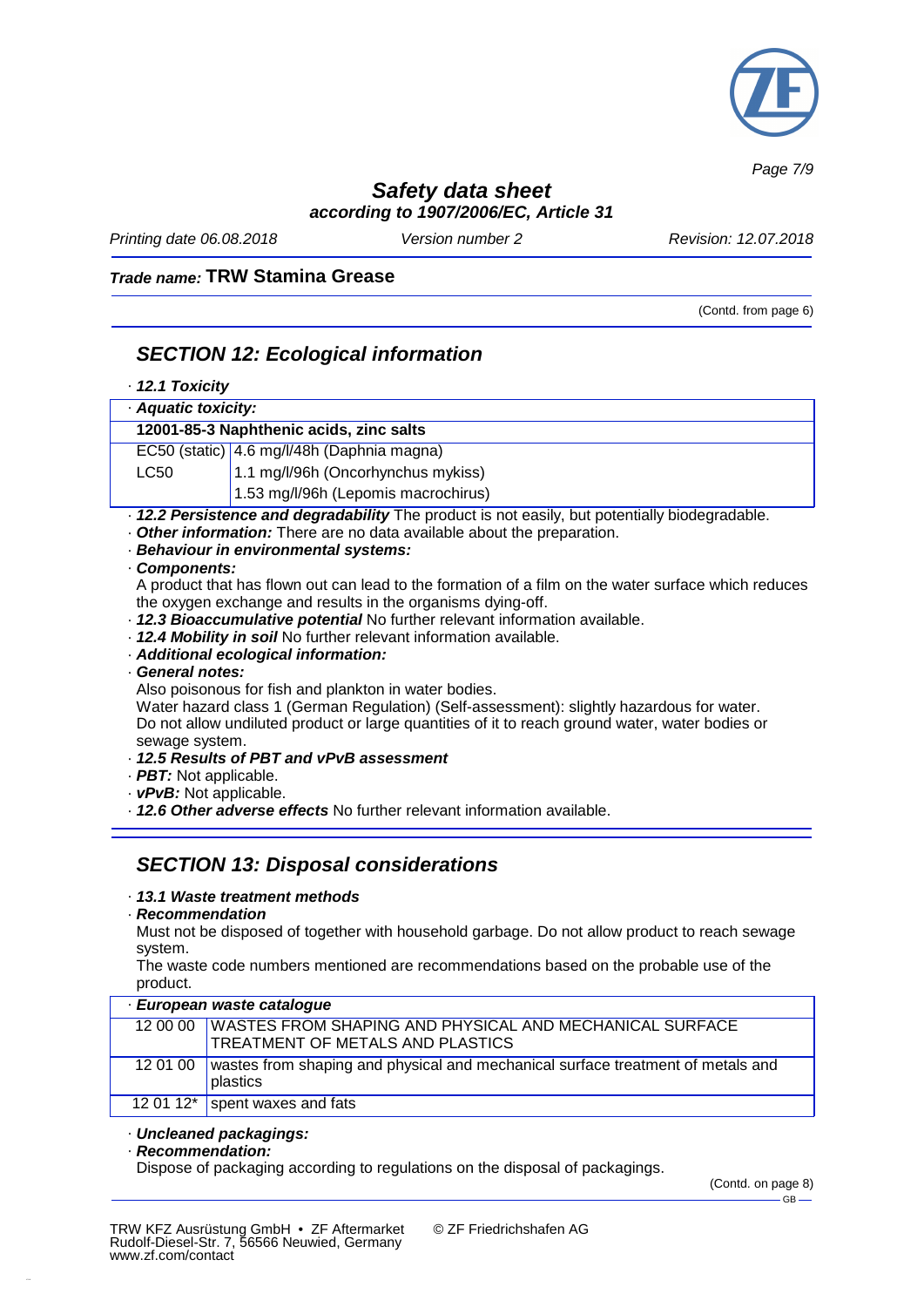

*Page 7/9*

# *Safety data sheet*

*according to 1907/2006/EC, Article 31*

*Printing date 06.08.2018 Version number 2 Revision: 12.07.2018*

### *Trade name:* **TRW Stamina Grease**

(Contd. from page 6)

## *SECTION 12: Ecological information*

| $\cdot$ 12.1 Toxicity                                                                          |                                            |  |
|------------------------------------------------------------------------------------------------|--------------------------------------------|--|
| · Aquatic toxicity:                                                                            |                                            |  |
| 12001-85-3 Naphthenic acids, zinc salts                                                        |                                            |  |
|                                                                                                | EC50 (static) 4.6 mg/l/48h (Daphnia magna) |  |
| <b>LC50</b>                                                                                    | 1.1 mg/l/96h (Oncorhynchus mykiss)         |  |
|                                                                                                | 1.53 mg/l/96h (Lepomis macrochirus)        |  |
| · 12.2 Persistence and degradability The product is not easily, but potentially biodegradable. |                                            |  |
| . Other information: There are no data available about the preparation.                        |                                            |  |

# · *Behaviour in environmental systems:*

· *Components:*

A product that has flown out can lead to the formation of a film on the water surface which reduces the oxygen exchange and results in the organisms dying-off.

- · *12.3 Bioaccumulative potential* No further relevant information available.
- · *12.4 Mobility in soil* No further relevant information available.
- · *Additional ecological information:*
- · *General notes:*

Also poisonous for fish and plankton in water bodies.

Water hazard class 1 (German Regulation) (Self-assessment): slightly hazardous for water. Do not allow undiluted product or large quantities of it to reach ground water, water bodies or sewage system.

- · *12.5 Results of PBT and vPvB assessment*
- · *PBT:* Not applicable.
- · *vPvB:* Not applicable.
- · *12.6 Other adverse effects* No further relevant information available.

## *SECTION 13: Disposal considerations*

### · *13.1 Waste treatment methods*

· *Recommendation*

Must not be disposed of together with household garbage. Do not allow product to reach sewage system.

The waste code numbers mentioned are recommendations based on the probable use of the product.

| · European waste catalogue |                                                                                                               |  |
|----------------------------|---------------------------------------------------------------------------------------------------------------|--|
|                            | 12 00 00   WASTES FROM SHAPING AND PHYSICAL AND MECHANICAL SURFACE<br><b>TREATMENT OF METALS AND PLASTICS</b> |  |
| 12 01 00                   | wastes from shaping and physical and mechanical surface treatment of metals and<br>plastics                   |  |
|                            | 12 01 12 $*$ spent waxes and fats                                                                             |  |

#### · *Uncleaned packagings:*

#### · *Recommendation:*

Dispose of packaging according to regulations on the disposal of packagings.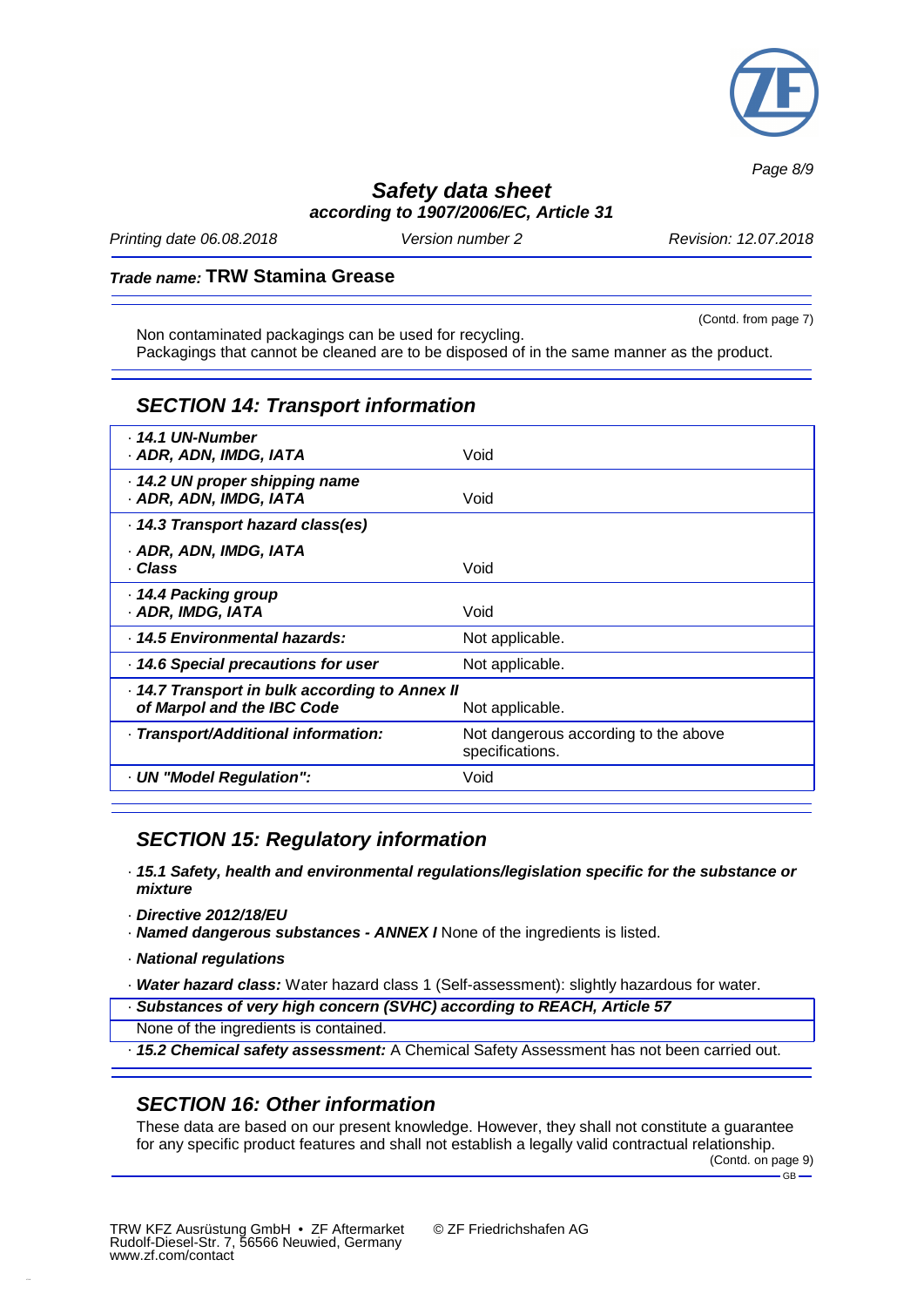

*Page 8/9*

## *Safety data sheet according to 1907/2006/EC, Article 31*

*Printing date 06.08.2018 Version number 2 Revision: 12.07.2018*

### *Trade name:* **TRW Stamina Grease**

(Contd. from page 7) Non contaminated packagings can be used for recycling. Packagings that cannot be cleaned are to be disposed of in the same manner as the product.

### *SECTION 14: Transport information*

| · 14.1 UN-Number<br>· ADR, ADN, IMDG, IATA                                                    | Void                                                    |  |
|-----------------------------------------------------------------------------------------------|---------------------------------------------------------|--|
| 14.2 UN proper shipping name<br>· ADR, ADN, IMDG, IATA                                        | Void                                                    |  |
| · 14.3 Transport hazard class(es)                                                             |                                                         |  |
| · ADR, ADN, IMDG, IATA<br>· Class                                                             | Void                                                    |  |
| 14.4 Packing group<br>· ADR, IMDG, IATA                                                       | Void                                                    |  |
| · 14.5 Environmental hazards:                                                                 | Not applicable.                                         |  |
| - 14.6 Special precautions for user                                                           | Not applicable.                                         |  |
| 14.7 Transport in bulk according to Annex II<br>of Marpol and the IBC Code<br>Not applicable. |                                                         |  |
| · Transport/Additional information:                                                           | Not dangerous according to the above<br>specifications. |  |
| - UN "Model Regulation":                                                                      | Void                                                    |  |

## *SECTION 15: Regulatory information*

- · *15.1 Safety, health and environmental regulations/legislation specific for the substance or mixture*
- · *Directive 2012/18/EU*
- · *Named dangerous substances - ANNEX I* None of the ingredients is listed.
- · *National regulations*
- · *Water hazard class:* Water hazard class 1 (Self-assessment): slightly hazardous for water.
- · *Substances of very high concern (SVHC) according to REACH, Article 57*
- None of the ingredients is contained.
- · *15.2 Chemical safety assessment:* A Chemical Safety Assessment has not been carried out.

## *SECTION 16: Other information*

These data are based on our present knowledge. However, they shall not constitute a guarantee for any specific product features and shall not establish a legally valid contractual relationship.

(Contd. on page 9)  $-$  GB  $-$